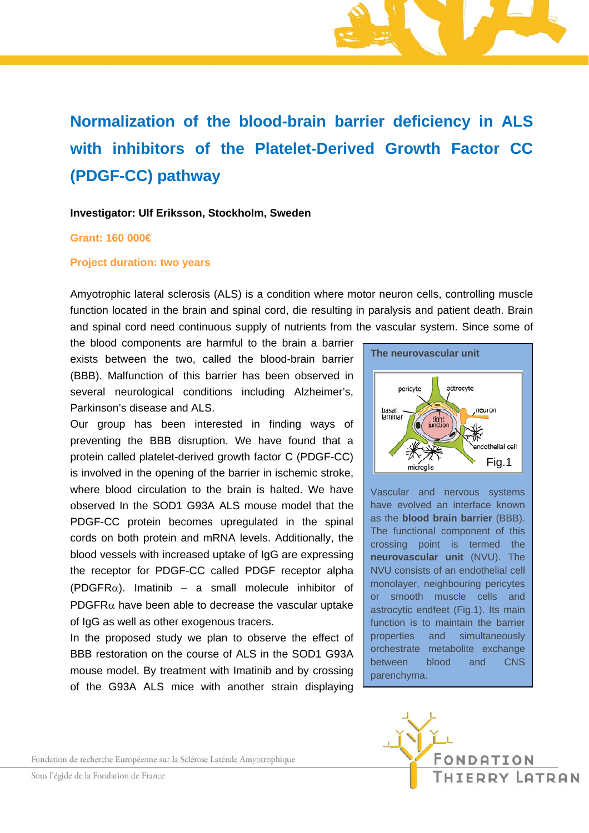# **Normalization of the blood-brain barrier deficiency in ALS with inhibitors of the Platelet-Derived Growth Factor CC (PDGF-CC) pathway**

#### **Investigator: Ulf Eriksson, Stockholm, Sweden**

### **Grant: 160 000€**

#### **Project duration: two years**

Amyotrophic lateral sclerosis (ALS) is a condition where motor neuron cells, controlling muscle function located in the brain and spinal cord, die resulting in paralysis and patient death. Brain and spinal cord need continuous supply of nutrients from the vascular system. Since some of

the blood components are harmful to the brain a barrier exists between the two, called the blood-brain barrier (BBB). Malfunction of this barrier has been observed in several neurological conditions including Alzheimer's, Parkinson's disease and ALS.

Our group has been interested in finding ways of preventing the BBB disruption. We have found that a protein called platelet-derived growth factor C (PDGF-CC) is involved in the opening of the barrier in ischemic stroke, where blood circulation to the brain is halted. We have observed In the SOD1 G93A ALS mouse model that the PDGF-CC protein becomes upregulated in the spinal cords on both protein and mRNA levels. Additionally, the blood vessels with increased uptake of IgG are expressing the receptor for PDGF-CC called PDGF receptor alpha  $(PDGFR\alpha)$ . Imatinib – a small molecule inhibitor of PDGFR $\alpha$  have been able to decrease the vascular uptake of IgG as well as other exogenous tracers.

In the proposed study we plan to observe the effect of BBB restoration on the course of ALS in the SOD1 G93A mouse model. By treatment with Imatinib and by crossing of the G93A ALS mice with another strain displaying



Vascular and nervous systems have evolved an interface known as the **blood brain barrier** (BBB). The functional component of this crossing point is termed the **neurovascular unit** (NVU). The NVU consists of an endothelial cell monolayer, neighbouring pericytes or smooth muscle cells and astrocytic endfeet (Fig.1). Its main function is to maintain the barrier properties and simultaneously orchestrate metabolite exchange between blood and CNS parenchyma.